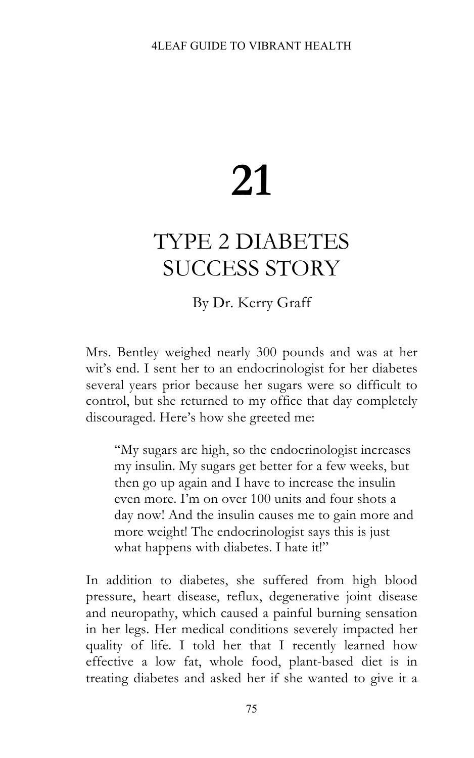## **21**

## TYPE 2 DIABETES SUCCESS STORY

By Dr. Kerry Graff

Mrs. Bentley weighed nearly 300 pounds and was at her wit's end. I sent her to an endocrinologist for her diabetes several years prior because her sugars were so difficult to control, but she returned to my office that day completely discouraged. Here's how she greeted me:

"My sugars are high, so the endocrinologist increases my insulin. My sugars get better for a few weeks, but then go up again and I have to increase the insulin even more. I'm on over 100 units and four shots a day now! And the insulin causes me to gain more and more weight! The endocrinologist says this is just what happens with diabetes. I hate it!"

In addition to diabetes, she suffered from high blood pressure, heart disease, reflux, degenerative joint disease and neuropathy, which caused a painful burning sensation in her legs. Her medical conditions severely impacted her quality of life. I told her that I recently learned how effective a low fat, whole food, plant-based diet is in treating diabetes and asked her if she wanted to give it a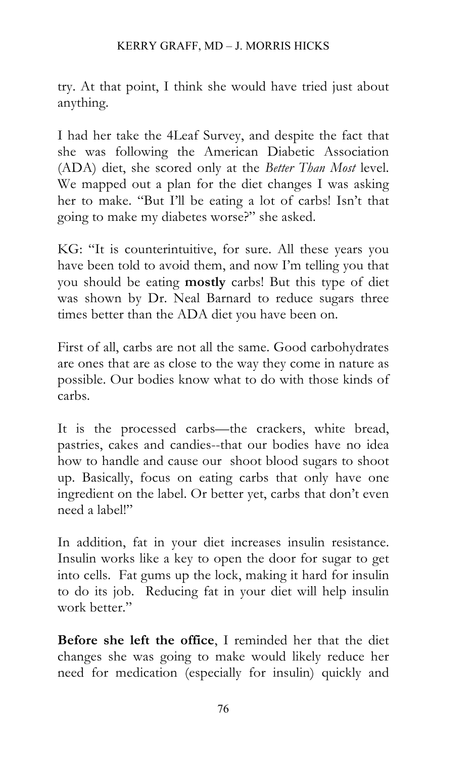try. At that point, I think she would have tried just about anything.

I had her take the 4Leaf Survey, and despite the fact that she was following the American Diabetic Association (ADA) diet, she scored only at the *Better Than Most* level. We mapped out a plan for the diet changes I was asking her to make. "But I'll be eating a lot of carbs! Isn't that going to make my diabetes worse?" she asked.

KG: "It is counterintuitive, for sure. All these years you have been told to avoid them, and now I'm telling you that you should be eating **mostly** carbs! But this type of diet was shown by Dr. Neal Barnard to reduce sugars three times better than the ADA diet you have been on.

First of all, carbs are not all the same. Good carbohydrates are ones that are as close to the way they come in nature as possible. Our bodies know what to do with those kinds of carbs.

It is the processed carbs—the crackers, white bread, pastries, cakes and candies--that our bodies have no idea how to handle and cause our shoot blood sugars to shoot up. Basically, focus on eating carbs that only have one ingredient on the label. Or better yet, carbs that don't even need a label!"

In addition, fat in your diet increases insulin resistance. Insulin works like a key to open the door for sugar to get into cells. Fat gums up the lock, making it hard for insulin to do its job. Reducing fat in your diet will help insulin work better."

**Before she left the office**, I reminded her that the diet changes she was going to make would likely reduce her need for medication (especially for insulin) quickly and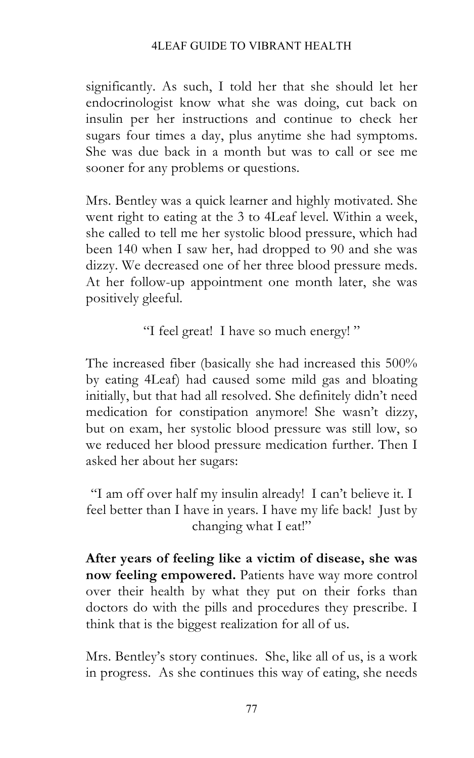## 4LEAF GUIDE TO VIBRANT HEALTH

significantly. As such, I told her that she should let her endocrinologist know what she was doing, cut back on insulin per her instructions and continue to check her sugars four times a day, plus anytime she had symptoms. She was due back in a month but was to call or see me sooner for any problems or questions.

Mrs. Bentley was a quick learner and highly motivated. She went right to eating at the 3 to 4Leaf level. Within a week, she called to tell me her systolic blood pressure, which had been 140 when I saw her, had dropped to 90 and she was dizzy. We decreased one of her three blood pressure meds. At her follow-up appointment one month later, she was positively gleeful.

"I feel great! I have so much energy! "

The increased fiber (basically she had increased this 500% by eating 4Leaf) had caused some mild gas and bloating initially, but that had all resolved. She definitely didn't need medication for constipation anymore! She wasn't dizzy, but on exam, her systolic blood pressure was still low, so we reduced her blood pressure medication further. Then I asked her about her sugars:

"I am off over half my insulin already! I can't believe it. I feel better than I have in years. I have my life back! Just by changing what I eat!"

**After years of feeling like a victim of disease, she was now feeling empowered.** Patients have way more control over their health by what they put on their forks than doctors do with the pills and procedures they prescribe. I think that is the biggest realization for all of us.

Mrs. Bentley's story continues. She, like all of us, is a work in progress. As she continues this way of eating, she needs